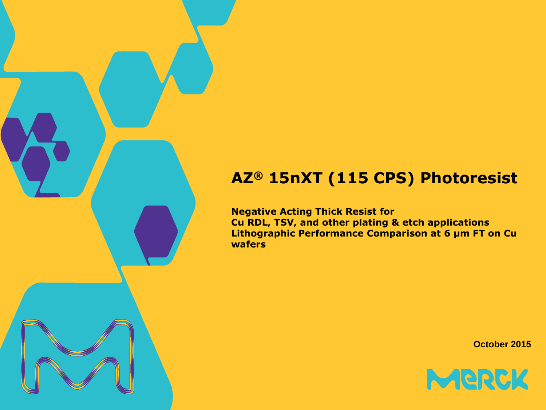# **AZ® 15nXT (115 CPS) Photoresist**

**Negative Acting Thick Resist for Cu RDL, TSV, and other plating & etch applications Lithographic Performance Comparison at 6 µm FT on Cu wafers**

**October 2015**

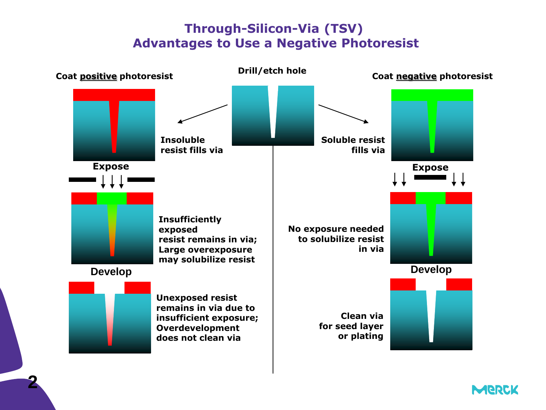# **Through-Silicon-Via (TSV) Advantages to Use a Negative Photoresist**



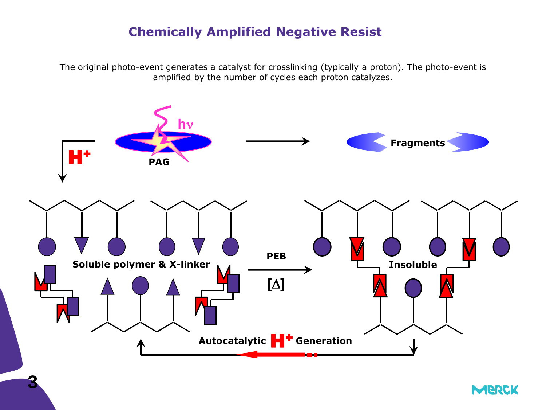## **Chemically Amplified Negative Resist**

The original photo-event generates a catalyst for crosslinking (typically a proton). The photo-event is amplified by the number of cycles each proton catalyzes.



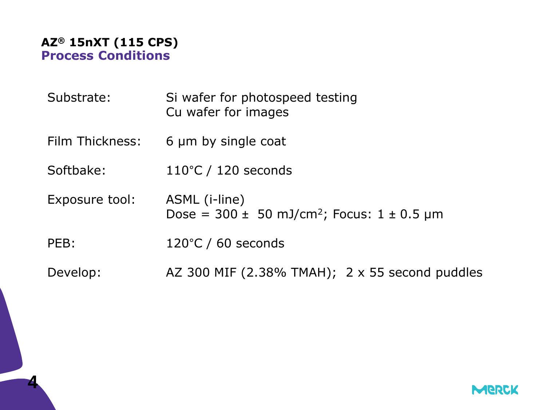

| Substrate:      | Si wafer for photospeed testing<br>Cu wafer for images                          |
|-----------------|---------------------------------------------------------------------------------|
| Film Thickness: | 6 µm by single coat                                                             |
| Softbake:       | $110^{\circ}$ C / 120 seconds                                                   |
| Exposure tool:  | ASML (i-line)<br>Dose = $300 \pm 50$ mJ/cm <sup>2</sup> ; Focus: $1 \pm 0.5$ µm |
| PEB:            | $120^{\circ}$ C / 60 seconds                                                    |
| Develop:        | AZ 300 MIF (2.38% TMAH); 2 x 55 second puddles                                  |

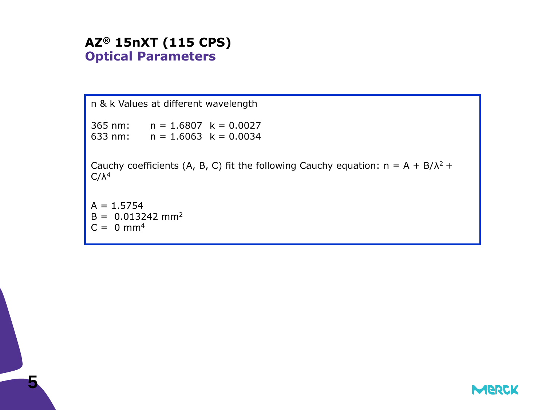#### **AZ® 15nXT (115 CPS) Optical Parameters**

```
n & k Values at different wavelength
365 nm: n = 1.6807 k = 0.0027
633 nm: n = 1.6063 k = 0.0034
Cauchy coefficients (A, B, C) fit the following Cauchy equation: n = A + B/\lambda^2 +C/λ<sup>4</sup>A = 1.5754B = 0.013242 mm<sup>2</sup>
C = 0 mm<sup>4</sup>
```
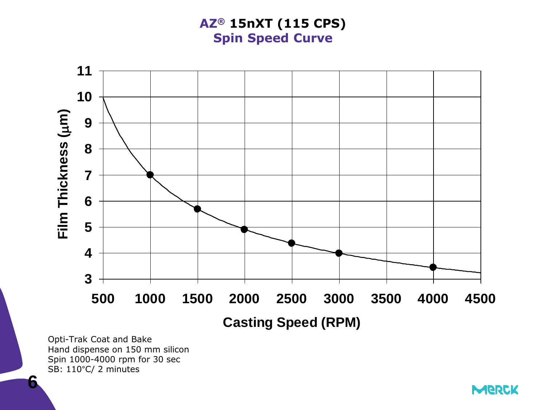**AZ® 15nXT (115 CPS) Spin Speed Curve**



Opti-Trak Coat and Bake Hand dispense on 150 mm silicon Spin 1000-4000 rpm for 30 sec SB: 110°C/ 2 minutes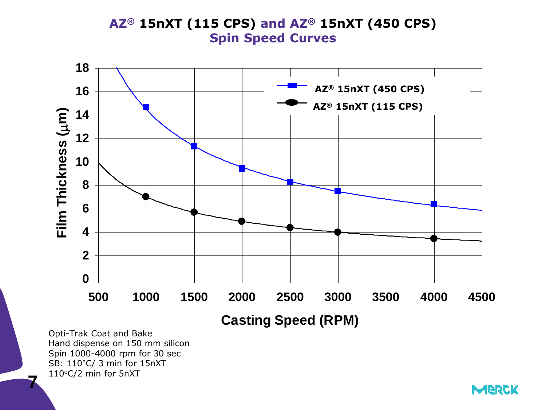#### **AZ® 15nXT (115 CPS) and AZ® 15nXT (450 CPS) Spin Speed Curves**



Opti-Trak Coat and Bake Hand dispense on 150 mm silicon Spin 1000-4000 rpm for 30 sec SB: 110°C/ 3 min for 15nXT 110°C/2 min for 5nXT

**7**

**MERCK**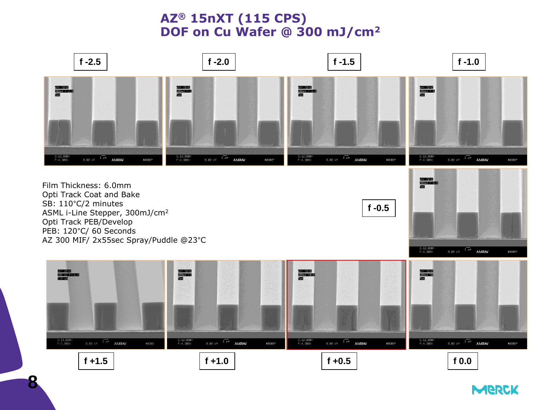### **AZ® 15nXT (115 CPS) DOF on Cu Wafer @ 300 mJ/cm<sup>2</sup>**



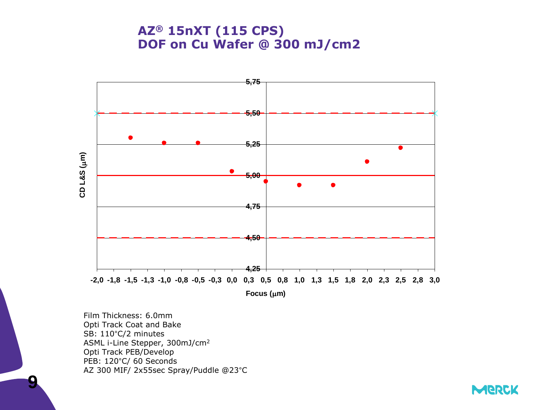#### **AZ® 15nXT (115 CPS) DOF on Cu Wafer @ 300 mJ/cm2**



Film Thickness: 6.0mm Opti Track Coat and Bake SB: 110°C/2 minutes ASML i-Line Stepper, 300mJ/cm<sup>2</sup> Opti Track PEB/Develop PEB: 120°C/ 60 Seconds AZ 300 MIF/ 2x55sec Spray/Puddle @23°C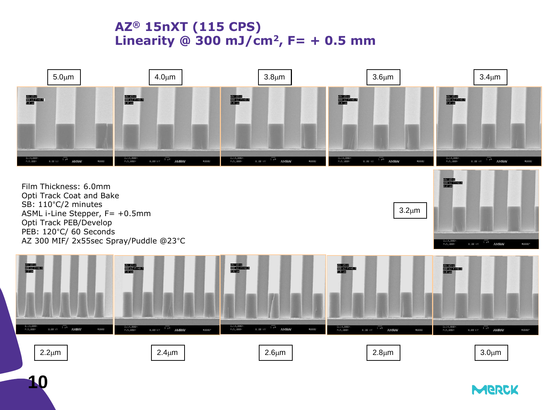# **AZ® 15nXT (115 CPS) Linearity @ 300 mJ/cm<sup>2</sup>, F= + 0.5 mm**



PEB: 120°C/ 60 Seconds AZ 300 MIF/ 2x55sec Spray/Puddle @23°C



 $3.0<sub>µ</sub>m$ 

MERCK

 $B.08 \text{ kV}$   $1 \text{ pB}$  AMRAY

#8080\*

D:14,88

 $2.2\mu$ m | 2.4 $\mu$ m | 2.4 $\mu$ m | 2.6 $\mu$ m | 2.8 $\mu$ m | 2.8 $\mu$ m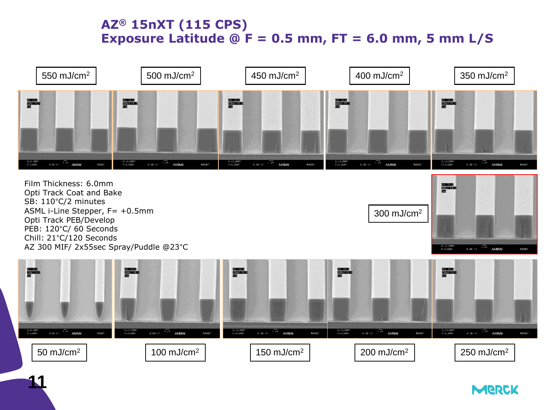# **AZ® 15nXT (115 CPS) Exposure Latitude @ F = 0.5 mm, FT = 6.0 mm, 5 mm L/S**



Film Thickness: 6.0mm Opti Track Coat and Bake SB: 110°C/2 minutes ASML i-Line Stepper, F= +0.5mm Opti Track PEB/Develop PEB: 120°C/ 60 Seconds Chill: 21°C/120 Seconds AZ 300 MIF/ 2x55sec Spray/Puddle @23°C





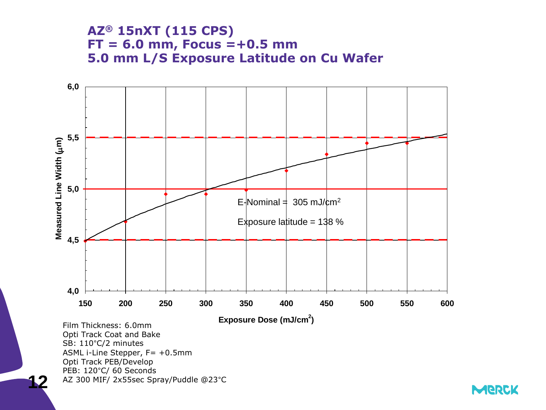#### **AZ® 15nXT (115 CPS) FT = 6.0 mm, Focus =+0.5 mm 5.0 mm L/S Exposure Latitude on Cu Wafer**



SB: 110°C/2 minutes ASML i-Line Stepper, F= +0.5mm Opti Track PEB/Develop PEB: 120°C/ 60 Seconds AZ 300 MIF/ 2x55sec Spray/Puddle @23°C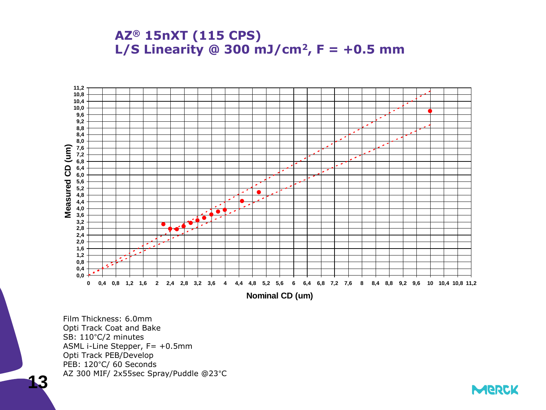



Film Thickness: 6.0mm Opti Track Coat and Bake SB: 110°C/2 minutes ASML i-Line Stepper, F= +0.5mm Opti Track PEB/Develop PEB: 120°C/ 60 Seconds AZ 300 MIF/ 2x55sec Spray/Puddle @23°C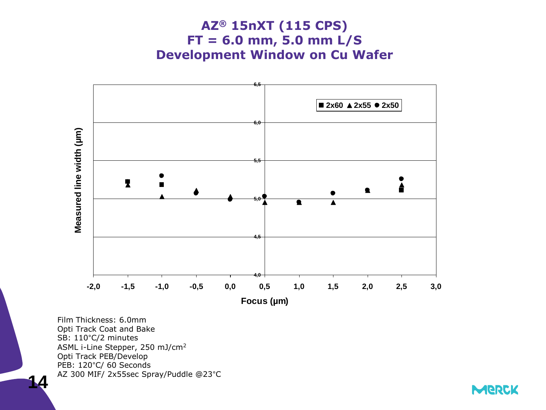



Film Thickness: 6.0mm Opti Track Coat and Bake SB: 110°C/2 minutes ASML i-Line Stepper, 250 mJ/cm<sup>2</sup> Opti Track PEB/Develop PEB: 120°C/ 60 Seconds AZ 300 MIF/ 2x55sec Spray/Puddle @23°C

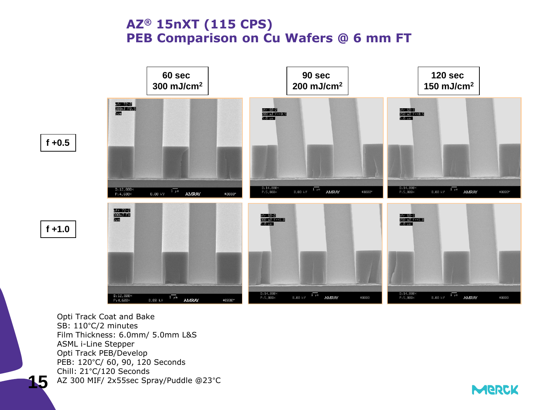#### **AZ® 15nXT (115 CPS) PEB Comparison on Cu Wafers @ 6 mm FT**



Opti Track Coat and Bake SB: 110°C/2 minutes Film Thickness: 6.0mm/ 5.0mm L&S ASML i-Line Stepper Opti Track PEB/Develop PEB: 120°C/ 60, 90, 120 Seconds Chill: 21°C/120 Seconds AZ 300 MIF/ 2x55sec Spray/Puddle @23°C

**MERCK**